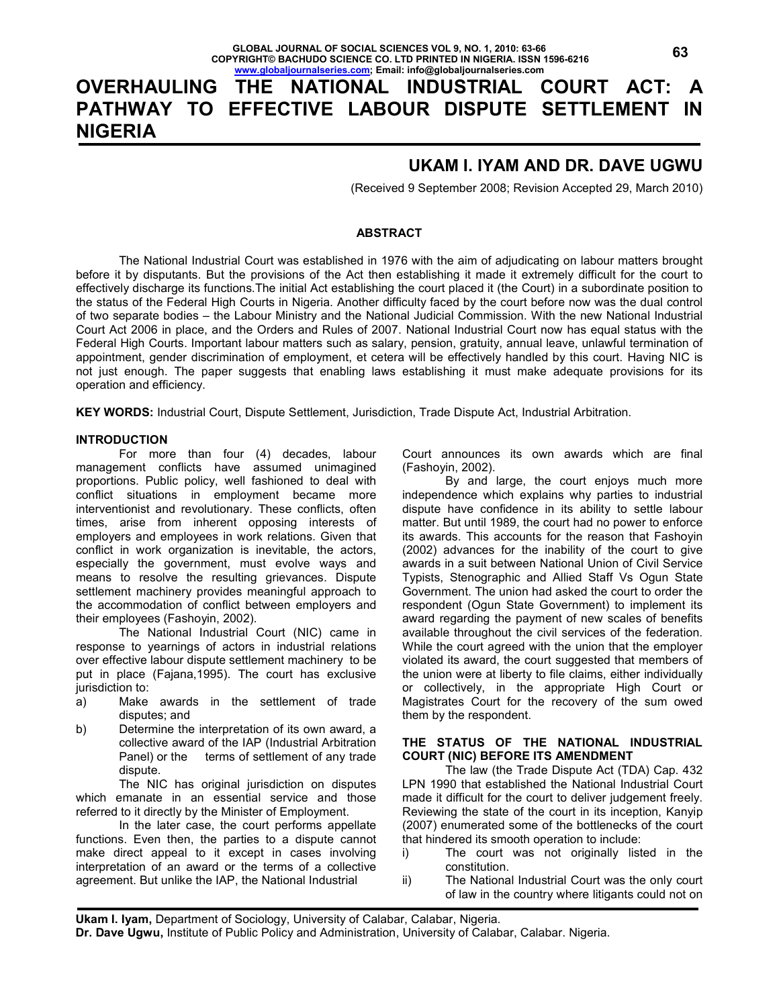# **OVERHAULING THE NATIONAL INDUSTRIAL COURT ACT: A PATHWAY TO EFFECTIVE LABOUR DISPUTE SETTLEMENT IN NIGERIA**

## **UKAM I. IYAM AND DR. DAVE UGWU**

(Received 9 September 2008; Revision Accepted 29, March 2010)

## **ABSTRACT**

 The National Industrial Court was established in 1976 with the aim of adjudicating on labour matters brought before it by disputants. But the provisions of the Act then establishing it made it extremely difficult for the court to effectively discharge its functions.The initial Act establishing the court placed it (the Court) in a subordinate position to the status of the Federal High Courts in Nigeria. Another difficulty faced by the court before now was the dual control of two separate bodies – the Labour Ministry and the National Judicial Commission. With the new National Industrial Court Act 2006 in place, and the Orders and Rules of 2007. National Industrial Court now has equal status with the Federal High Courts. Important labour matters such as salary, pension, gratuity, annual leave, unlawful termination of appointment, gender discrimination of employment, et cetera will be effectively handled by this court. Having NIC is not just enough. The paper suggests that enabling laws establishing it must make adequate provisions for its operation and efficiency.

**KEY WORDS:** Industrial Court, Dispute Settlement, Jurisdiction, Trade Dispute Act, Industrial Arbitration.

### **INTRODUCTION**

 For more than four (4) decades, labour management conflicts have assumed unimagined proportions. Public policy, well fashioned to deal with conflict situations in employment became more interventionist and revolutionary. These conflicts, often times, arise from inherent opposing interests of employers and employees in work relations. Given that conflict in work organization is inevitable, the actors, especially the government, must evolve ways and means to resolve the resulting grievances. Dispute settlement machinery provides meaningful approach to the accommodation of conflict between employers and their employees (Fashoyin, 2002).

 The National Industrial Court (NIC) came in response to yearnings of actors in industrial relations over effective labour dispute settlement machinery to be put in place (Fajana,1995). The court has exclusive jurisdiction to:

- a) Make awards in the settlement of trade disputes; and
- b) Determine the interpretation of its own award, a collective award of the IAP (Industrial Arbitration Panel) or the terms of settlement of any trade dispute.

 The NIC has original jurisdiction on disputes which emanate in an essential service and those referred to it directly by the Minister of Employment.

 In the later case, the court performs appellate functions. Even then, the parties to a dispute cannot make direct appeal to it except in cases involving interpretation of an award or the terms of a collective agreement. But unlike the IAP, the National Industrial

Court announces its own awards which are final (Fashoyin, 2002).

 By and large, the court enjoys much more independence which explains why parties to industrial dispute have confidence in its ability to settle labour matter. But until 1989, the court had no power to enforce its awards. This accounts for the reason that Fashoyin (2002) advances for the inability of the court to give awards in a suit between National Union of Civil Service Typists, Stenographic and Allied Staff Vs Ogun State Government. The union had asked the court to order the respondent (Ogun State Government) to implement its award regarding the payment of new scales of benefits available throughout the civil services of the federation. While the court agreed with the union that the employer violated its award, the court suggested that members of the union were at liberty to file claims, either individually or collectively, in the appropriate High Court or Magistrates Court for the recovery of the sum owed them by the respondent.

## **THE STATUS OF THE NATIONAL INDUSTRIAL COURT (NIC) BEFORE ITS AMENDMENT**

 The law (the Trade Dispute Act (TDA) Cap. 432 LPN 1990 that established the National Industrial Court made it difficult for the court to deliver judgement freely. Reviewing the state of the court in its inception, Kanyip (2007) enumerated some of the bottlenecks of the court that hindered its smooth operation to include:

- i) The court was not originally listed in the constitution.
- ii) The National Industrial Court was the only court of law in the country where litigants could not on

 **Dr. Dave Ugwu,** Institute of Public Policy and Administration, University of Calabar, Calabar. Nigeria. l **Ukam I. Iyam,** Department of Sociology, University of Calabar, Calabar, Nigeria.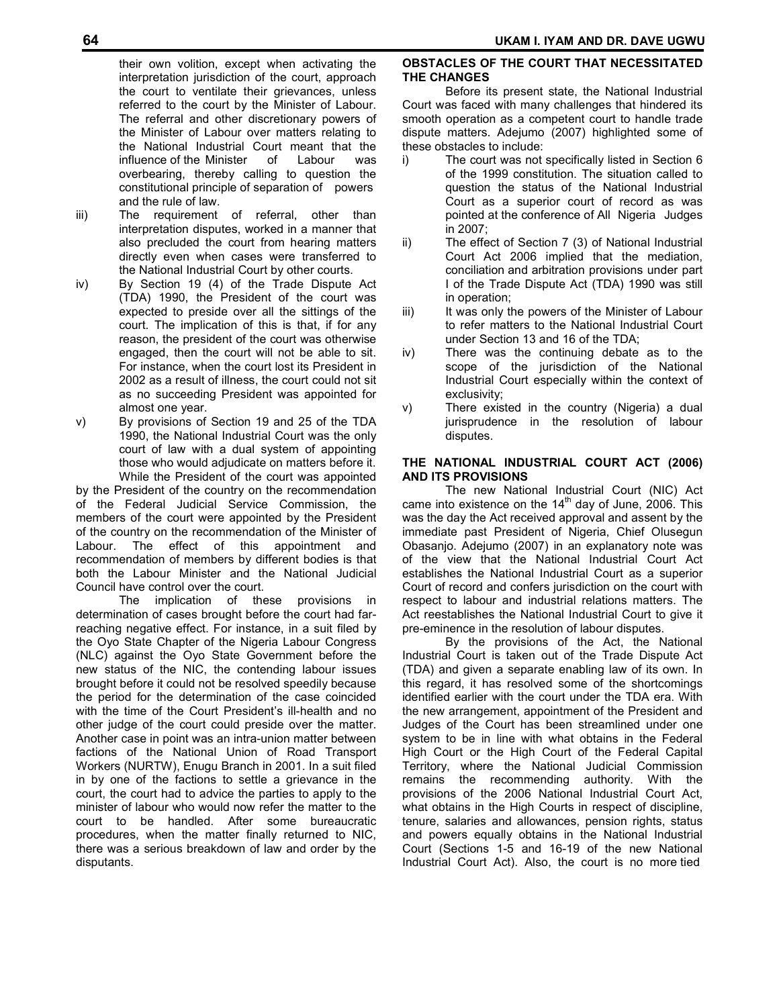their own volition, except when activating the interpretation jurisdiction of the court, approach the court to ventilate their grievances, unless referred to the court by the Minister of Labour. The referral and other discretionary powers of the Minister of Labour over matters relating to the National Industrial Court meant that the influence of the Minister of Labour was overbearing, thereby calling to question the constitutional principle of separation of powers and the rule of law.

- iii) The requirement of referral, other than interpretation disputes, worked in a manner that also precluded the court from hearing matters directly even when cases were transferred to the National Industrial Court by other courts.
- iv) By Section 19 (4) of the Trade Dispute Act (TDA) 1990, the President of the court was expected to preside over all the sittings of the court. The implication of this is that, if for any reason, the president of the court was otherwise engaged, then the court will not be able to sit. For instance, when the court lost its President in 2002 as a result of illness, the court could not sit as no succeeding President was appointed for almost one year.
- v) By provisions of Section 19 and 25 of the TDA 1990, the National Industrial Court was the only court of law with a dual system of appointing those who would adjudicate on matters before it. While the President of the court was appointed

by the President of the country on the recommendation of the Federal Judicial Service Commission, the members of the court were appointed by the President of the country on the recommendation of the Minister of Labour. The effect of this appointment and recommendation of members by different bodies is that both the Labour Minister and the National Judicial Council have control over the court.

 The implication of these provisions in determination of cases brought before the court had farreaching negative effect. For instance, in a suit filed by the Oyo State Chapter of the Nigeria Labour Congress (NLC) against the Oyo State Government before the new status of the NIC, the contending labour issues brought before it could not be resolved speedily because the period for the determination of the case coincided with the time of the Court President's ill-health and no other judge of the court could preside over the matter. Another case in point was an intra-union matter between factions of the National Union of Road Transport Workers (NURTW), Enugu Branch in 2001. In a suit filed in by one of the factions to settle a grievance in the court, the court had to advice the parties to apply to the minister of labour who would now refer the matter to the court to be handled. After some bureaucratic procedures, when the matter finally returned to NIC, there was a serious breakdown of law and order by the disputants.

## **OBSTACLES OF THE COURT THAT NECESSITATED THE CHANGES**

 Before its present state, the National Industrial Court was faced with many challenges that hindered its smooth operation as a competent court to handle trade dispute matters. Adejumo (2007) highlighted some of these obstacles to include:

- i) The court was not specifically listed in Section 6 of the 1999 constitution. The situation called to question the status of the National Industrial Court as a superior court of record as was pointed at the conference of All Nigeria Judges in 2007;
- ii) The effect of Section 7 (3) of National Industrial Court Act 2006 implied that the mediation, conciliation and arbitration provisions under part I of the Trade Dispute Act (TDA) 1990 was still in operation;
- iii) It was only the powers of the Minister of Labour to refer matters to the National Industrial Court under Section 13 and 16 of the TDA;
- iv) There was the continuing debate as to the scope of the jurisdiction of the National Industrial Court especially within the context of exclusivity;
- v) There existed in the country (Nigeria) a dual jurisprudence in the resolution of labour disputes.

## **THE NATIONAL INDUSTRIAL COURT ACT (2006) AND ITS PROVISIONS**

 The new National Industrial Court (NIC) Act came into existence on the  $14<sup>th</sup>$  day of June, 2006. This was the day the Act received approval and assent by the immediate past President of Nigeria, Chief Olusegun Obasanjo. Adejumo (2007) in an explanatory note was of the view that the National Industrial Court Act establishes the National Industrial Court as a superior Court of record and confers jurisdiction on the court with respect to labour and industrial relations matters. The Act reestablishes the National Industrial Court to give it pre-eminence in the resolution of labour disputes.

 By the provisions of the Act, the National Industrial Court is taken out of the Trade Dispute Act (TDA) and given a separate enabling law of its own. In this regard, it has resolved some of the shortcomings identified earlier with the court under the TDA era. With the new arrangement, appointment of the President and Judges of the Court has been streamlined under one system to be in line with what obtains in the Federal High Court or the High Court of the Federal Capital Territory, where the National Judicial Commission remains the recommending authority. With the provisions of the 2006 National Industrial Court Act, what obtains in the High Courts in respect of discipline, tenure, salaries and allowances, pension rights, status and powers equally obtains in the National Industrial Court (Sections 1-5 and 16-19 of the new National Industrial Court Act). Also, the court is no more tied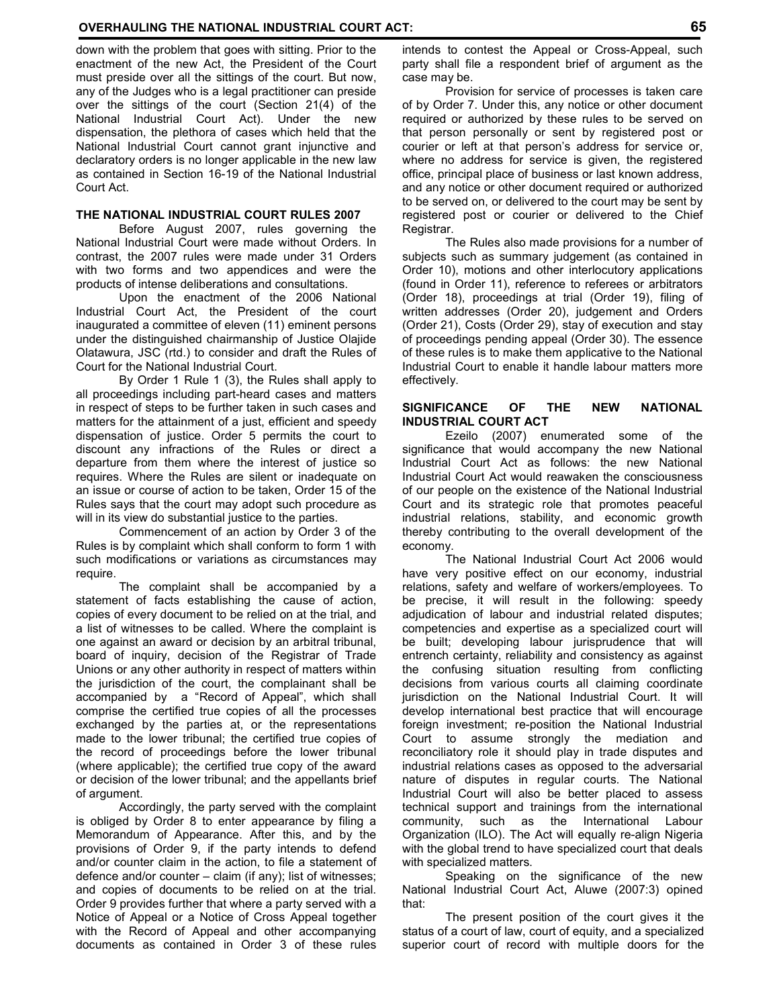down with the problem that goes with sitting. Prior to the enactment of the new Act, the President of the Court must preside over all the sittings of the court. But now, any of the Judges who is a legal practitioner can preside over the sittings of the court (Section 21(4) of the National Industrial Court Act). Under the new dispensation, the plethora of cases which held that the National Industrial Court cannot grant injunctive and declaratory orders is no longer applicable in the new law as contained in Section 16-19 of the National Industrial Court Act.

#### **THE NATIONAL INDUSTRIAL COURT RULES 2007**

 Before August 2007, rules governing the National Industrial Court were made without Orders. In contrast, the 2007 rules were made under 31 Orders with two forms and two appendices and were the products of intense deliberations and consultations.

 Upon the enactment of the 2006 National Industrial Court Act, the President of the court inaugurated a committee of eleven (11) eminent persons under the distinguished chairmanship of Justice Olajide Olatawura, JSC (rtd.) to consider and draft the Rules of Court for the National Industrial Court.

 By Order 1 Rule 1 (3), the Rules shall apply to all proceedings including part-heard cases and matters in respect of steps to be further taken in such cases and matters for the attainment of a just, efficient and speedy dispensation of justice. Order 5 permits the court to discount any infractions of the Rules or direct a departure from them where the interest of justice so requires. Where the Rules are silent or inadequate on an issue or course of action to be taken, Order 15 of the Rules says that the court may adopt such procedure as will in its view do substantial justice to the parties.

 Commencement of an action by Order 3 of the Rules is by complaint which shall conform to form 1 with such modifications or variations as circumstances may require.

 The complaint shall be accompanied by a statement of facts establishing the cause of action, copies of every document to be relied on at the trial, and a list of witnesses to be called. Where the complaint is one against an award or decision by an arbitral tribunal, board of inquiry, decision of the Registrar of Trade Unions or any other authority in respect of matters within the jurisdiction of the court, the complainant shall be accompanied by a "Record of Appeal", which shall comprise the certified true copies of all the processes exchanged by the parties at, or the representations made to the lower tribunal; the certified true copies of the record of proceedings before the lower tribunal (where applicable); the certified true copy of the award or decision of the lower tribunal; and the appellants brief of argument.

 Accordingly, the party served with the complaint is obliged by Order 8 to enter appearance by filing a Memorandum of Appearance. After this, and by the provisions of Order 9, if the party intends to defend and/or counter claim in the action, to file a statement of defence and/or counter – claim (if any); list of witnesses; and copies of documents to be relied on at the trial. Order 9 provides further that where a party served with a Notice of Appeal or a Notice of Cross Appeal together with the Record of Appeal and other accompanying documents as contained in Order 3 of these rules

intends to contest the Appeal or Cross-Appeal, such party shall file a respondent brief of argument as the case may be.

 Provision for service of processes is taken care of by Order 7. Under this, any notice or other document required or authorized by these rules to be served on that person personally or sent by registered post or courier or left at that person's address for service or, where no address for service is given, the registered office, principal place of business or last known address, and any notice or other document required or authorized to be served on, or delivered to the court may be sent by registered post or courier or delivered to the Chief Registrar.

 The Rules also made provisions for a number of subjects such as summary judgement (as contained in Order 10), motions and other interlocutory applications (found in Order 11), reference to referees or arbitrators (Order 18), proceedings at trial (Order 19), filing of written addresses (Order 20), judgement and Orders (Order 21), Costs (Order 29), stay of execution and stay of proceedings pending appeal (Order 30). The essence of these rules is to make them applicative to the National Industrial Court to enable it handle labour matters more effectively.

#### **SIGNIFICANCE OF THE NEW NATIONAL INDUSTRIAL COURT ACT**

 Ezeilo (2007) enumerated some of the significance that would accompany the new National Industrial Court Act as follows: the new National Industrial Court Act would reawaken the consciousness of our people on the existence of the National Industrial Court and its strategic role that promotes peaceful industrial relations, stability, and economic growth thereby contributing to the overall development of the economy.

 The National Industrial Court Act 2006 would have very positive effect on our economy, industrial relations, safety and welfare of workers/employees. To be precise, it will result in the following: speedy adjudication of labour and industrial related disputes; competencies and expertise as a specialized court will be built; developing labour jurisprudence that will entrench certainty, reliability and consistency as against the confusing situation resulting from conflicting decisions from various courts all claiming coordinate jurisdiction on the National Industrial Court. It will develop international best practice that will encourage foreign investment; re-position the National Industrial Court to assume strongly the mediation and reconciliatory role it should play in trade disputes and industrial relations cases as opposed to the adversarial nature of disputes in regular courts. The National Industrial Court will also be better placed to assess technical support and trainings from the international community, such as the International Labour Organization (ILO). The Act will equally re-align Nigeria with the global trend to have specialized court that deals with specialized matters.

 Speaking on the significance of the new National Industrial Court Act, Aluwe (2007:3) opined that:

 The present position of the court gives it the status of a court of law, court of equity, and a specialized superior court of record with multiple doors for the